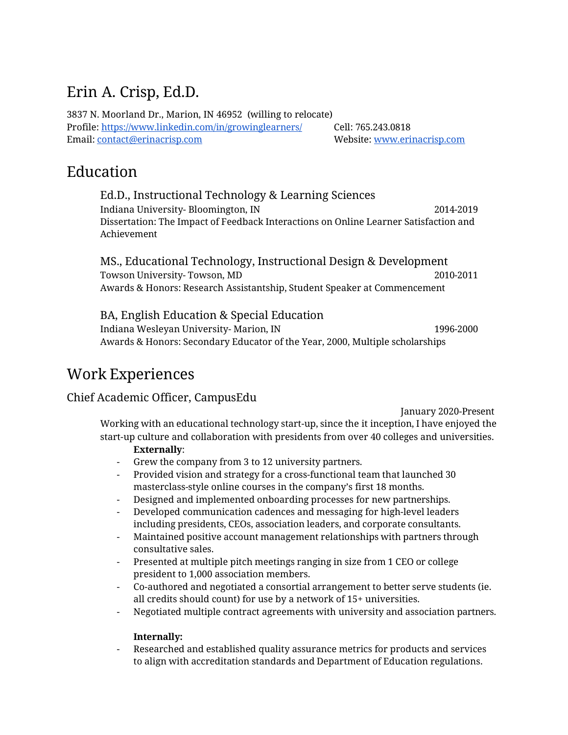# Erin A. Crisp, Ed.D.

3837 N. Moorland Dr., Marion, IN 46952 (willing to relocate) Profile: <https://www.linkedin.com/in/growinglearners/> Cell: 765.243.0818 Email: [contact@erinacrisp.com](mailto:contact@erinacrisp.com) Website: [www.erinacrisp.com](http://www.erinacrisp.com/)

# Education

Ed.D., Instructional Technology & Learning Sciences Indiana University- Bloomington, IN 2014-2019 Dissertation: The Impact of Feedback Interactions on Online Learner Satisfaction and Achievement

MS., Educational Technology, Instructional Design & Development Towson University- Towson, MD 2010-2011 Awards & Honors: Research Assistantship, Student Speaker at Commencement

BA, English Education & Special Education

Indiana Wesleyan University- Marion, IN 1996-2000 Awards & Honors: Secondary Educator of the Year, 2000, Multiple scholarships

# Work Experiences

# Chief Academic Officer, CampusEdu

January 2020-Present

Working with an educational technology start-up, since the it inception, I have enjoyed the start-up culture and collaboration with presidents from over 40 colleges and universities.

# **Externally**:

- Grew the company from 3 to 12 university partners.
- Provided vision and strategy for a cross-functional team that launched 30 masterclass-style online courses in the company's first 18 months.
- Designed and implemented onboarding processes for new partnerships.
- Developed communication cadences and messaging for high-level leaders including presidents, CEOs, association leaders, and corporate consultants.
- Maintained positive account management relationships with partners through consultative sales.
- Presented at multiple pitch meetings ranging in size from 1 CEO or college president to 1,000 association members.
- Co-authored and negotiated a consortial arrangement to better serve students (ie. all credits should count) for use by a network of 15+ universities.
- Negotiated multiple contract agreements with university and association partners.

# **Internally:**

- Researched and established quality assurance metrics for products and services to align with accreditation standards and Department of Education regulations.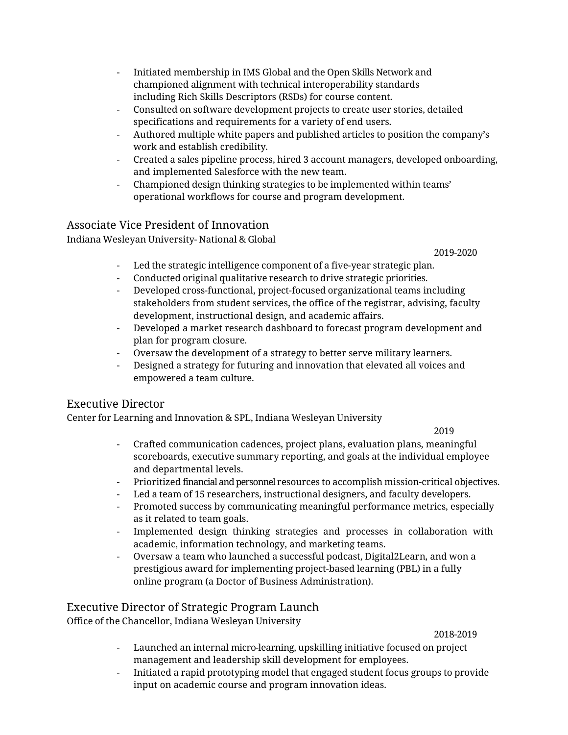- Initiated membership in IMS Global and the Open Skills Network and championed alignment with technical interoperability standards including Rich Skills Descriptors (RSDs) for course content.
- Consulted on software development projects to create user stories, detailed specifications and requirements for a variety of end users.
- Authored multiple white papers and published articles to position the company's work and establish credibility.
- Created a sales pipeline process, hired 3 account managers, developed onboarding, and implemented Salesforce with the new team.
- Championed design thinking strategies to be implemented within teams' operational workflows for course and program development.

# Associate Vice President of Innovation

Indiana Wesleyan University- National & Global

2019-2020

- Led the strategic intelligence component of a five-year strategic plan.
- Conducted original qualitative research to drive strategic priorities.
- Developed cross-functional, project-focused organizational teams including stakeholders from student services, the office of the registrar, advising, faculty development, instructional design, and academic affairs.
- Developed a market research dashboard to forecast program development and plan for program closure.
- Oversaw the development of a strategy to better serve military learners.
- Designed a strategy for futuring and innovation that elevated all voices and empowered a team culture.

# Executive Director

Center for Learning and Innovation & SPL, Indiana Wesleyan University

2019

- Crafted communication cadences, project plans, evaluation plans, meaningful scoreboards, executive summary reporting, and goals at the individual employee and departmental levels.
- Prioritized financial and personnel resources to accomplish mission-critical objectives.
- Led a team of 15 researchers, instructional designers, and faculty developers.
- Promoted success by communicating meaningful performance metrics, especially as it related to team goals.
- Implemented design thinking strategies and processes in collaboration with academic, information technology, and marketing teams.
- Oversaw a team who launched a successful podcast, Digital2Learn, and won a prestigious award for implementing project-based learning (PBL) in a fully online program (a Doctor of Business Administration).

# Executive Director of Strategic Program Launch

Office of the Chancellor, Indiana Wesleyan University

2018-2019

- Launched an internal micro-learning, upskilling initiative focused on project management and leadership skill development for employees.
- Initiated a rapid prototyping model that engaged student focus groups to provide input on academic course and program innovation ideas.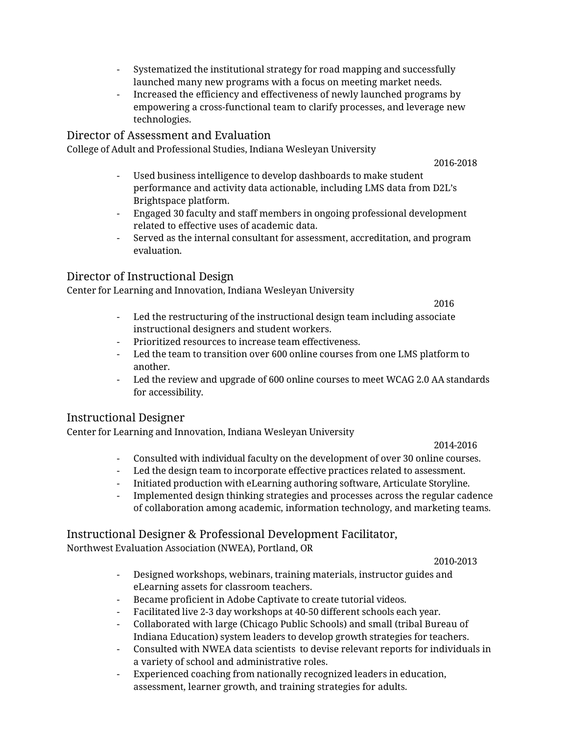- Systematized the institutional strategy for road mapping and successfully launched many new programs with a focus on meeting market needs.
- Increased the efficiency and effectiveness of newly launched programs by empowering a cross-functional team to clarify processes, and leverage new technologies.

## Director of Assessment and Evaluation

College of Adult and Professional Studies, Indiana Wesleyan University

2016-2018

- Used business intelligence to develop dashboards to make student performance and activity data actionable, including LMS data from D2L's Brightspace platform.
- Engaged 30 faculty and staff members in ongoing professional development related to effective uses of academic data.
- Served as the internal consultant for assessment, accreditation, and program evaluation.

#### Director of Instructional Design

Center for Learning and Innovation, Indiana Wesleyan University

2016

- Led the restructuring of the instructional design team including associate instructional designers and student workers.
- Prioritized resources to increase team effectiveness.
- Led the team to transition over 600 online courses from one LMS platform to another.
- Led the review and upgrade of 600 online courses to meet WCAG 2.0 AA standards for accessibility.

## Instructional Designer

Center for Learning and Innovation, Indiana Wesleyan University

2014-2016

- Consulted with individual faculty on the development of over 30 online courses.
- Led the design team to incorporate effective practices related to assessment.
- Initiated production with eLearning authoring software, Articulate Storyline.
- Implemented design thinking strategies and processes across the regular cadence of collaboration among academic, information technology, and marketing teams.

## Instructional Designer & Professional Development Facilitator,

Northwest Evaluation Association (NWEA), Portland, OR

2010-2013

- Designed workshops, webinars, training materials, instructor guides and eLearning assets for classroom teachers.
- Became proficient in Adobe Captivate to create tutorial videos.
- Facilitated live 2-3 day workshops at 40-50 different schools each year.
- Collaborated with large (Chicago Public Schools) and small (tribal Bureau of Indiana Education) system leaders to develop growth strategies for teachers.
- Consulted with NWEA data scientists to devise relevant reports for individuals in a variety of school and administrative roles.
- Experienced coaching from nationally recognized leaders in education, assessment, learner growth, and training strategies for adults.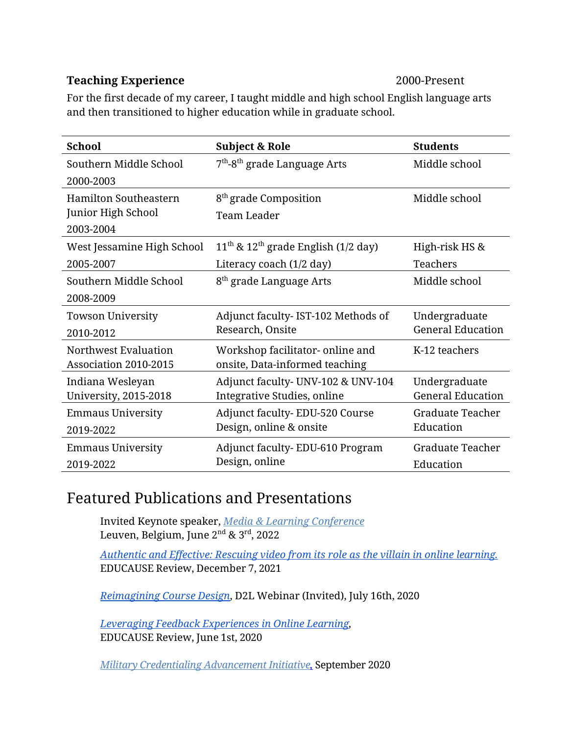# **Teaching Experience** 2000-Present

For the first decade of my career, I taught middle and high school English language arts and then transitioned to higher education while in graduate school.

| <b>School</b>                                                   | <b>Subject &amp; Role</b>                                         | <b>Students</b>                           |
|-----------------------------------------------------------------|-------------------------------------------------------------------|-------------------------------------------|
| Southern Middle School<br>2000-2003                             | 7 <sup>th</sup> -8 <sup>th</sup> grade Language Arts              | Middle school                             |
| <b>Hamilton Southeastern</b><br>Junior High School<br>2003-2004 | 8 <sup>th</sup> grade Composition<br>Team Leader                  | Middle school                             |
| West Jessamine High School                                      | $11^{\text{th}}$ & $12^{\text{th}}$ grade English (1/2 day)       | High-risk HS &                            |
| 2005-2007                                                       | Literacy coach (1/2 day)                                          | Teachers                                  |
| Southern Middle School                                          | 8 <sup>th</sup> grade Language Arts                               | Middle school                             |
| 2008-2009                                                       |                                                                   |                                           |
| <b>Towson University</b>                                        | Adjunct faculty- IST-102 Methods of                               | Undergraduate<br><b>General Education</b> |
| 2010-2012                                                       | Research, Onsite                                                  |                                           |
| Northwest Evaluation<br>Association 2010-2015                   | Workshop facilitator-online and<br>onsite, Data-informed teaching | K-12 teachers                             |
| Indiana Wesleyan<br><b>University, 2015-2018</b>                | Adjunct faculty- UNV-102 & UNV-104<br>Integrative Studies, online | Undergraduate<br><b>General Education</b> |
| <b>Emmaus University</b><br>2019-2022                           | Adjunct faculty-EDU-520 Course<br>Design, online & onsite         | <b>Graduate Teacher</b><br>Education      |
| <b>Emmaus University</b><br>2019-2022                           | Adjunct faculty-EDU-610 Program<br>Design, online                 | <b>Graduate Teacher</b><br>Education      |

# Featured Publications and Presentations

Invited Keynote speaker, *[Media & Learning Conference](https://conference.media-and-learning.eu/)* Leuven, Belgium, June 2<sup>nd</sup> & 3<sup>rd</sup>, 2022

*[Authentic](https://er.educause.edu/articles/2021/12/authentic-and-effective-rescuing-video-from-its-role-as-the-villain-of-online-learning) and Effective: Rescuing video from its role as the villain in online learning.* EDUCAUSE Review, December 7, 2021

*[Reimagining](https://pages.d2l.com/rs/482-PDA-858/images/D2L%20Course%20Design%20Webinar%20July%202020.pdf?mkt_tok=eyJpIjoiT0RkaE56UTROemRoWVdWaiIsInQiOiJjek16TERmNHRuejdqWjEzSG1rZEhRMHVqNHpRN3M0bVdVN2xLS0FlT2J6SzVEREI0end2bkJ4NVwvWGZubHk5K0xGVmNkTEl0TnBvWlNTZlNaakpnUVBJTThVTVhObGVwbXFPV0I4aVFwdnBSNVBwWlNcL0t0UzlYdUJrQ2UybjIwIn0%3D) Course Design*, D2L Webinar (Invited), July 16th, 2020

*Leveraging Feedback [Experiences](https://er.educause.edu/articles/2020/6/leveraging-feedback-experiences-in-online-learning) in Online Learning,*  EDUCAUSE Review, June 1st, 2020

*Military [Credentialing Advancement Initiative,](https://www.indwes.edu/news/2020/09/project-seeks-to-help-military-service-members-earn-credentials)* September 2020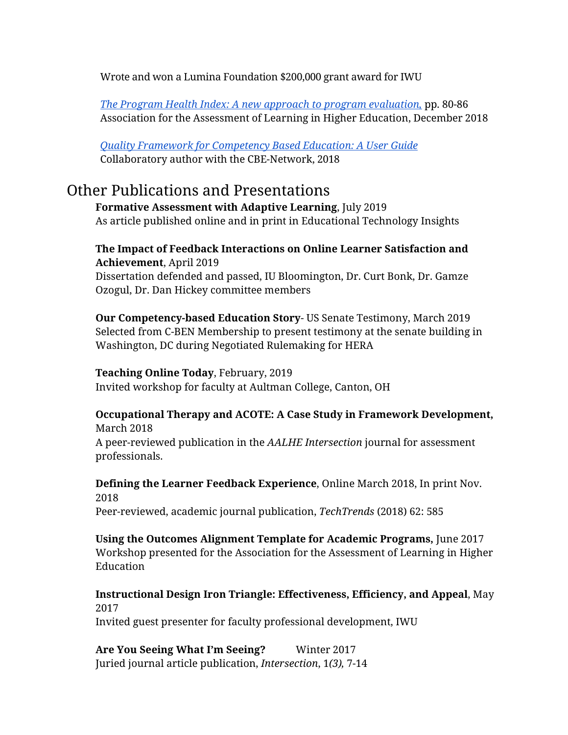Wrote and won a Lumina Foundation \$200,000 grant award for IWU

*[The Program Health Index: A new approach to program evaluation,](https://www.aalhe.org/assets/docs/2018_AALHE_Conference_Proceedings.pdf)* pp. 80-86 Association for the Assessment of Learning in Higher Education, December 2018

*Quality Framework for Competency Based [Education: A User](https://www.cbenetwork.org/wp-content/uploads/2018/09/2nd_button_Quality_Framework_Users_Guide_Final_.pdf) Guide* Collaboratory author with the CBE-Network, 2018

# Other Publications and Presentations

**Formative Assessment with Adaptive Learning**, July 2019 As article published online and in print in Educational Technology Insights

# **The Impact of Feedback Interactions on Online Learner Satisfaction and Achievement**, April 2019

Dissertation defended and passed, IU Bloomington, Dr. Curt Bonk, Dr. Gamze Ozogul, Dr. Dan Hickey committee members

**Our Competency-based Education Story**- US Senate Testimony, March 2019 Selected from C-BEN Membership to present testimony at the senate building in Washington, DC during Negotiated Rulemaking for HERA

## **Teaching Online Today**, February, 2019

Invited workshop for faculty at Aultman College, Canton, OH

## **Occupational Therapy and ACOTE: A Case Study in Framework Development,**  March 2018

A peer-reviewed publication in the *AALHE Intersection* journal for assessment professionals.

# **Defining the Learner Feedback Experience**, Online March 2018, In print Nov. 2018

Peer-reviewed, academic journal publication, *TechTrends* (2018) 62: 585

**Using the Outcomes Alignment Template for Academic Programs,** June 2017 Workshop presented for the Association for the Assessment of Learning in Higher Education

# **Instructional Design Iron Triangle: Effectiveness, Efficiency, and Appeal**, May 2017

Invited guest presenter for faculty professional development, IWU

Are You Seeing What I'm Seeing? Winter 2017 Juried journal article publication, *Intersection*, 1*(3),* 7-14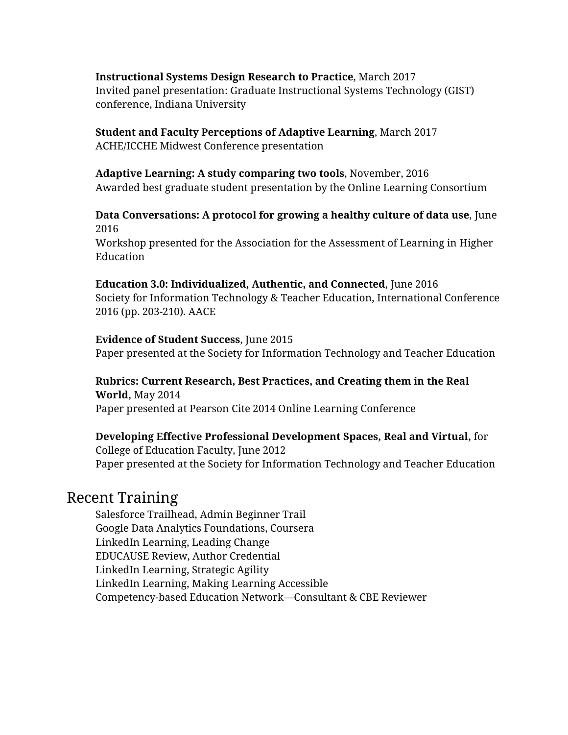## **Instructional Systems Design Research to Practice**, March 2017

Invited panel presentation: Graduate Instructional Systems Technology (GIST) conference, Indiana University

# **Student and Faculty Perceptions of Adaptive Learning**, March 2017

ACHE/ICCHE Midwest Conference presentation

# **Adaptive Learning: A study comparing two tools**, November, 2016

Awarded best graduate student presentation by the Online Learning Consortium

## **Data Conversations: A protocol for growing a healthy culture of data use**, June 2016

Workshop presented for the Association for the Assessment of Learning in Higher Education

## **Education 3.0: Individualized, Authentic, and Connected**, June 2016

Society for Information Technology & Teacher Education, International Conference 2016 (pp. 203-210). AACE

## **Evidence of Student Success**, June 2015

Paper presented at the Society for Information Technology and Teacher Education

## **Rubrics: Current Research, Best Practices, and Creating them in the Real**

**World,** May 2014 Paper presented at Pearson Cite 2014 Online Learning Conference

## **Developing Effective Professional Development Spaces, Real and Virtual,** for

College of Education Faculty, June 2012 Paper presented at the Society for Information Technology and Teacher Education

# Recent Training

Salesforce Trailhead, Admin Beginner Trail Google Data Analytics Foundations, Coursera LinkedIn Learning, Leading Change EDUCAUSE Review, Author Credential LinkedIn Learning, Strategic Agility LinkedIn Learning, Making Learning Accessible Competency-based Education Network—Consultant & CBE Reviewer